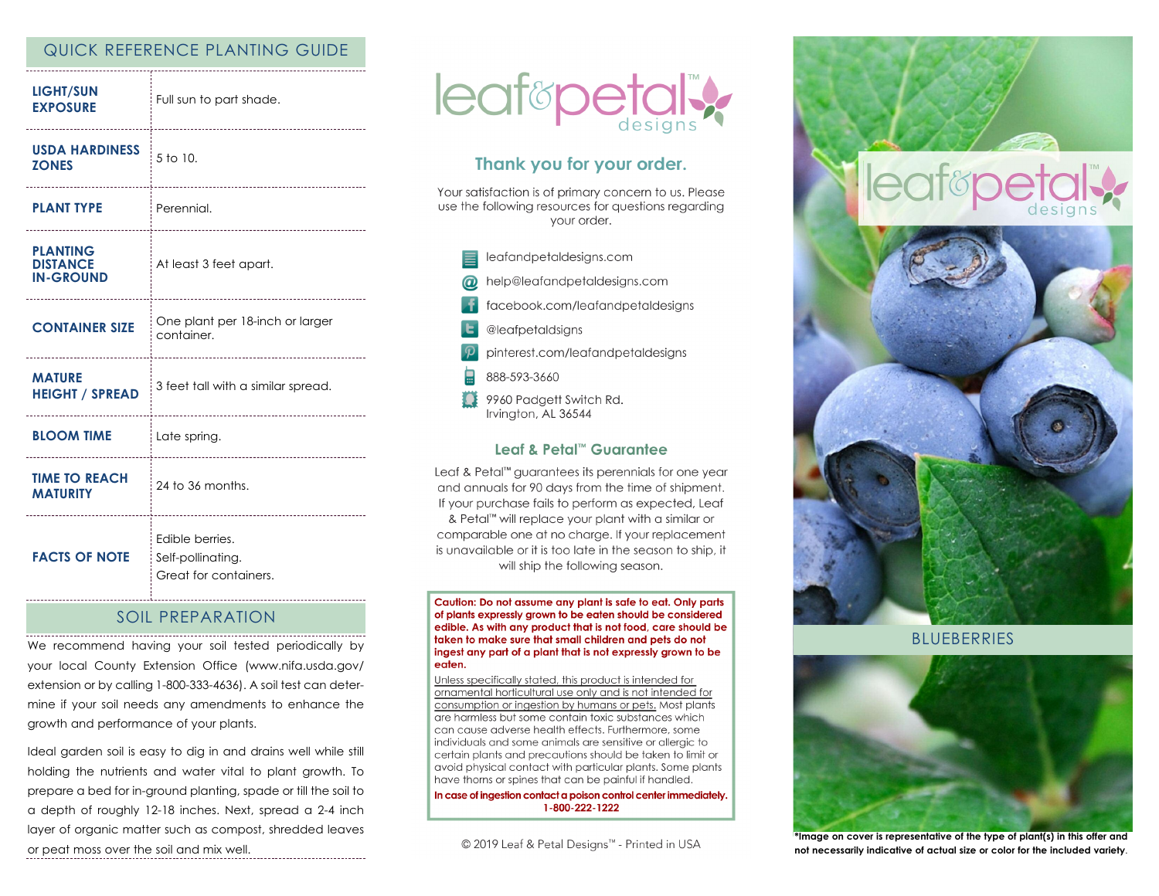### QUICK REFERENCE PLANTING GUIDE

| <b>LIGHT/SUN</b><br><b>EXPOSURE</b>                       | Full sun to part shade.                                       |
|-----------------------------------------------------------|---------------------------------------------------------------|
| <b>USDA HARDINESS</b><br><b>ZONES</b><br>---------------- | 5 to 10.<br>--------------------------                        |
| <b>PLANT TYPE</b>                                         | : Perennial.<br>-----------------------                       |
| <b>PLANTING</b><br><b>DISTANCE</b><br><b>IN-GROUND</b>    | At least 3 feet apart.<br>                                    |
| <b>CONTAINER SIZE</b>                                     | One plant per 18-inch or larger<br>container.                 |
| <b>MATURE</b><br><b>HEIGHT / SPREAD</b>                   | 3 feet tall with a similar spread.                            |
| <b>BLOOM TIME</b>                                         | Late spring.                                                  |
| <b>TIME TO REACH</b><br><b>MATURITY</b><br>.              | 24 to 36 months.                                              |
| <b>FACTS OF NOTE</b>                                      | Edible berries.<br>Self-pollinating.<br>Great for containers. |

### SOIL PREPARATION

We recommend having your soil tested periodically by your local County Extension Office (www.nifa.usda.gov/ extension or by calling 1-800-333-4636). A soil test can determine if your soil needs any amendments to enhance the growth and performance of your plants.

Ideal garden soil is easy to dig in and drains well while still holding the nutrients and water vital to plant growth. To prepare a bed for in-ground planting, spade or till the soil to a depth of roughly 12-18 inches. Next, spread a 2-4 inch layer of organic matter such as compost, shredded leaves or peat moss over the soil and mix well.



# Thank you for your order.

Your satisfaction is of primary concern to us. Please use the following resources for questions regarding vour order.

leafandpetaldesigns.com help@leafandpetaldesigns.com facebook.com/leafandpetaldesigns @leafpetaldsigns pinterest.com/leafandpetaldesigns 888-593-3660 9960 Padgett Switch Rd. Irvington, AL 36544

### Leaf & Petal™ Guarantee

Leaf & Petal<sup>™</sup> guarantees its perennials for one year and annuals for 90 days from the time of shipment. If your purchase fails to perform as expected, Leaf & Petal™ will replace your plant with a similar or comparable one at no charge. If your replacement is unavailable or it is too late in the season to ship, it will ship the following season.

Caution: Do not assume any plant is safe to eat. Only parts of plants expressly grown to be eaten should be considered edible. As with any product that is not food, care should be taken to make sure that small children and pets do not ingest any part of a plant that is not expressly grown to be eaten.

Unless specifically stated, this product is intended for ornamental horticultural use only and is not intended for consumption or ingestion by humans or pets. Most plants are harmless but some contain toxic substances which can cause adverse health effects. Furthermore, some individuals and some animals are sensitive or allergic to certain plants and precautions should be taken to limit or avoid physical contact with particular plants. Some plants have thorns or spines that can be painful if handled.

In case of ingestion contact a poison control center immediately. 1-800-222-1222

© 2019 Leaf & Petal Designs™ - Printed in USA



**BLUEBERRIES** 



**\*Image on cover is representative of the type of plant(s) in this offer and not necessarily indicative of actual size or color for the included variety**.